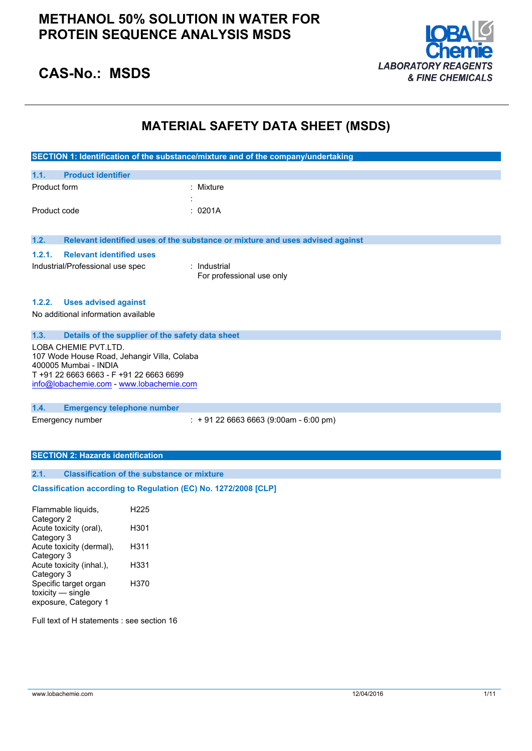## **METHANOL 50% SOLUTION IN WATER FOR PROTEIN SEQUENCE ANALYSIS MSDS**



## **CAS-No.: MSDS**

## **MATERIAL SAFETY DATA SHEET (MSDS)**

|                                                                                                                                         |                                                                 | SECTION 1: Identification of the substance/mixture and of the company/undertaking |
|-----------------------------------------------------------------------------------------------------------------------------------------|-----------------------------------------------------------------|-----------------------------------------------------------------------------------|
|                                                                                                                                         |                                                                 |                                                                                   |
| 1.1.                                                                                                                                    | <b>Product identifier</b>                                       |                                                                                   |
| Product form                                                                                                                            |                                                                 | : Mixture                                                                         |
|                                                                                                                                         |                                                                 |                                                                                   |
| Product code                                                                                                                            |                                                                 | 0201A                                                                             |
|                                                                                                                                         |                                                                 |                                                                                   |
| 1.2.                                                                                                                                    |                                                                 | Relevant identified uses of the substance or mixture and uses advised against     |
| 1.2.1.                                                                                                                                  | <b>Relevant identified uses</b>                                 |                                                                                   |
|                                                                                                                                         | Industrial/Professional use spec                                | : Industrial                                                                      |
|                                                                                                                                         |                                                                 | For professional use only                                                         |
|                                                                                                                                         |                                                                 |                                                                                   |
| 1.2.2.                                                                                                                                  | <b>Uses advised against</b>                                     |                                                                                   |
|                                                                                                                                         | No additional information available                             |                                                                                   |
|                                                                                                                                         |                                                                 |                                                                                   |
| 1.3.                                                                                                                                    | Details of the supplier of the safety data sheet                |                                                                                   |
| LOBA CHEMIE PVT.LTD.<br>107 Wode House Road, Jehangir Villa, Colaba<br>400005 Mumbai - INDIA<br>T +91 22 6663 6663 - F +91 22 6663 6699 |                                                                 |                                                                                   |
|                                                                                                                                         | info@lobachemie.com - www.lobachemie.com                        |                                                                                   |
| 1.4.                                                                                                                                    | <b>Emergency telephone number</b>                               |                                                                                   |
|                                                                                                                                         | Emergency number                                                | $: +912266636663(9:00am - 6:00 pm)$                                               |
|                                                                                                                                         |                                                                 |                                                                                   |
|                                                                                                                                         |                                                                 |                                                                                   |
|                                                                                                                                         | <b>SECTION 2: Hazards identification</b>                        |                                                                                   |
| 2.1.                                                                                                                                    |                                                                 |                                                                                   |
| <b>Classification of the substance or mixture</b>                                                                                       |                                                                 |                                                                                   |
|                                                                                                                                         | Classification according to Regulation (EC) No. 1272/2008 [CLP] |                                                                                   |
|                                                                                                                                         | Flammable liquids,<br>H <sub>225</sub>                          |                                                                                   |
| Category 2                                                                                                                              | Acute toxicity (oral),<br>H301                                  |                                                                                   |

| H311 |
|------|
|      |
| H331 |
|      |
| H370 |
|      |
|      |
|      |

Full text of H statements : see section 16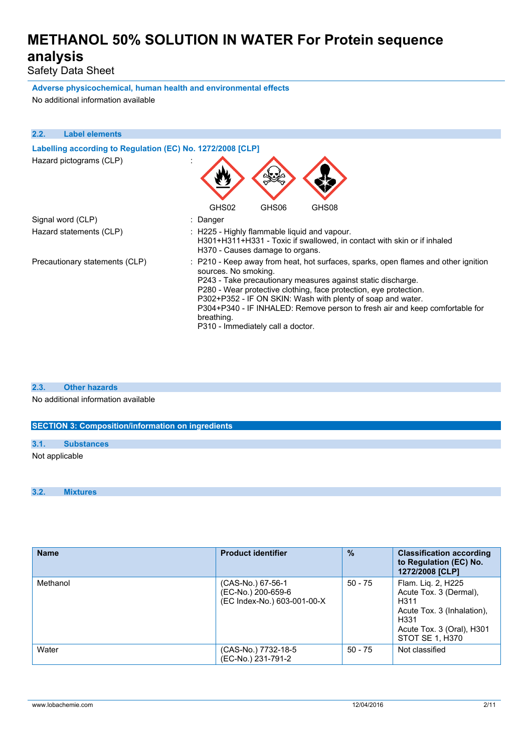Safety Data Sheet

**Adverse physicochemical, human health and environmental effects** No additional information available

| 2.2. | <b>Label elements</b>                                      |                                                                                                                                                                                                                                                                                                                                                                                                                                                  |
|------|------------------------------------------------------------|--------------------------------------------------------------------------------------------------------------------------------------------------------------------------------------------------------------------------------------------------------------------------------------------------------------------------------------------------------------------------------------------------------------------------------------------------|
|      |                                                            |                                                                                                                                                                                                                                                                                                                                                                                                                                                  |
|      | Labelling according to Regulation (EC) No. 1272/2008 [CLP] |                                                                                                                                                                                                                                                                                                                                                                                                                                                  |
|      | Hazard pictograms (CLP)                                    |                                                                                                                                                                                                                                                                                                                                                                                                                                                  |
|      |                                                            | GHS02<br>GHS06<br>GHS08                                                                                                                                                                                                                                                                                                                                                                                                                          |
|      | Signal word (CLP)                                          | : Danger                                                                                                                                                                                                                                                                                                                                                                                                                                         |
|      | Hazard statements (CLP)                                    | : H225 - Highly flammable liquid and vapour.<br>H301+H311+H331 - Toxic if swallowed, in contact with skin or if inhaled<br>H370 - Causes damage to organs.                                                                                                                                                                                                                                                                                       |
|      | Precautionary statements (CLP)                             | : P210 - Keep away from heat, hot surfaces, sparks, open flames and other ignition<br>sources. No smoking.<br>P243 - Take precautionary measures against static discharge.<br>P280 - Wear protective clothing, face protection, eye protection.<br>P302+P352 - IF ON SKIN: Wash with plenty of soap and water.<br>P304+P340 - IF INHALED: Remove person to fresh air and keep comfortable for<br>breathing.<br>P310 - Immediately call a doctor. |

## **2.3. Other hazards**

No additional information available

### **SECTION 3: Composition/information on ingredients**

### **3.1. Substances**

Not applicable

#### **3.2. Mixtures**

| <b>Name</b> | <b>Product identifier</b>                                              | $\frac{9}{6}$ | <b>Classification according</b>                                                                                                            |
|-------------|------------------------------------------------------------------------|---------------|--------------------------------------------------------------------------------------------------------------------------------------------|
|             |                                                                        |               | to Regulation (EC) No.<br>1272/2008 [CLP]                                                                                                  |
| Methanol    | (CAS-No.) 67-56-1<br>(EC-No.) 200-659-6<br>(EC Index-No.) 603-001-00-X | $50 - 75$     | Flam. Lig. 2, H225<br>Acute Tox. 3 (Dermal).<br>H311<br>Acute Tox. 3 (Inhalation).<br>H331<br>Acute Tox. 3 (Oral), H301<br>STOT SE 1, H370 |
| Water       | (CAS-No.) 7732-18-5<br>(EC-No.) 231-791-2                              | $50 - 75$     | Not classified                                                                                                                             |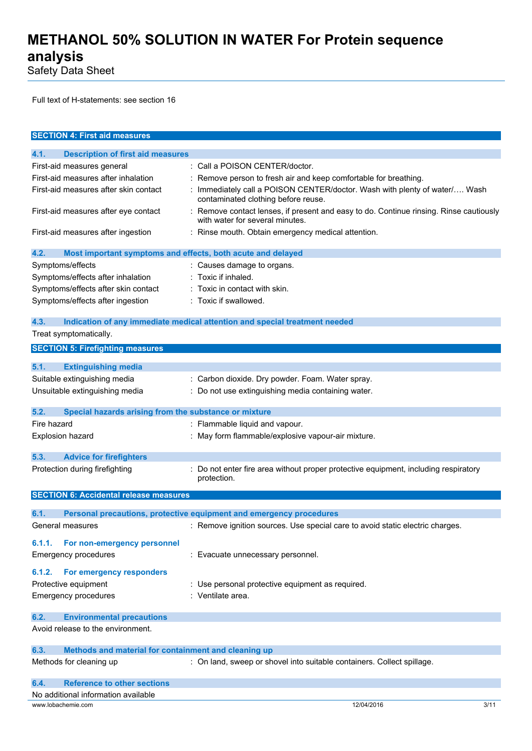Safety Data Sheet

Full text of H-statements: see section 16

| <b>SECTION 4: First aid measures</b>                                |                                                                                                                         |
|---------------------------------------------------------------------|-------------------------------------------------------------------------------------------------------------------------|
| 4.1.<br><b>Description of first aid measures</b>                    |                                                                                                                         |
| First-aid measures general                                          | : Call a POISON CENTER/doctor.                                                                                          |
| First-aid measures after inhalation                                 | : Remove person to fresh air and keep comfortable for breathing.                                                        |
| First-aid measures after skin contact                               | Immediately call a POISON CENTER/doctor. Wash with plenty of water/ Wash<br>contaminated clothing before reuse.         |
| First-aid measures after eye contact                                | Remove contact lenses, if present and easy to do. Continue rinsing. Rinse cautiously<br>with water for several minutes. |
| First-aid measures after ingestion                                  | : Rinse mouth. Obtain emergency medical attention.                                                                      |
| 4.2.<br>Most important symptoms and effects, both acute and delayed |                                                                                                                         |
| Symptoms/effects                                                    | : Causes damage to organs.                                                                                              |
| Symptoms/effects after inhalation                                   | : Toxic if inhaled.                                                                                                     |
| Symptoms/effects after skin contact                                 | Toxic in contact with skin.                                                                                             |
| Symptoms/effects after ingestion                                    | : Toxic if swallowed.                                                                                                   |
| 4.3.                                                                | Indication of any immediate medical attention and special treatment needed                                              |
| Treat symptomatically.                                              |                                                                                                                         |
| <b>SECTION 5: Firefighting measures</b>                             |                                                                                                                         |
| 5.1.<br><b>Extinguishing media</b>                                  |                                                                                                                         |
| Suitable extinguishing media                                        | : Carbon dioxide. Dry powder. Foam. Water spray.                                                                        |
| Unsuitable extinguishing media                                      | : Do not use extinguishing media containing water.                                                                      |
|                                                                     |                                                                                                                         |
| 5.2.<br>Special hazards arising from the substance or mixture       |                                                                                                                         |
| Fire hazard                                                         | : Flammable liquid and vapour.                                                                                          |
| Explosion hazard                                                    | May form flammable/explosive vapour-air mixture.                                                                        |
| 5.3.<br><b>Advice for firefighters</b>                              |                                                                                                                         |
| Protection during firefighting                                      | Do not enter fire area without proper protective equipment, including respiratory<br>protection.                        |
| <b>SECTION 6: Accidental release measures</b>                       |                                                                                                                         |
| 6.1.                                                                | Personal precautions, protective equipment and emergency procedures                                                     |
| General measures                                                    | : Remove ignition sources. Use special care to avoid static electric charges.                                           |
|                                                                     |                                                                                                                         |
| For non-emergency personnel<br>6.1.1.                               |                                                                                                                         |
| <b>Emergency procedures</b>                                         | : Evacuate unnecessary personnel.                                                                                       |
| For emergency responders<br>6.1.2.                                  |                                                                                                                         |
| Protective equipment                                                | : Use personal protective equipment as required.                                                                        |
| <b>Emergency procedures</b>                                         | : Ventilate area.                                                                                                       |
| <b>Environmental precautions</b><br>6.2.                            |                                                                                                                         |
| Avoid release to the environment.                                   |                                                                                                                         |
|                                                                     |                                                                                                                         |
| 6.3.<br>Methods and material for containment and cleaning up        |                                                                                                                         |
| Methods for cleaning up                                             | : On land, sweep or shovel into suitable containers. Collect spillage.                                                  |
| <b>Reference to other sections</b><br>6.4.                          |                                                                                                                         |
| No additional information available                                 |                                                                                                                         |
| www.lobachemie.com                                                  | 12/04/2016<br>3/11                                                                                                      |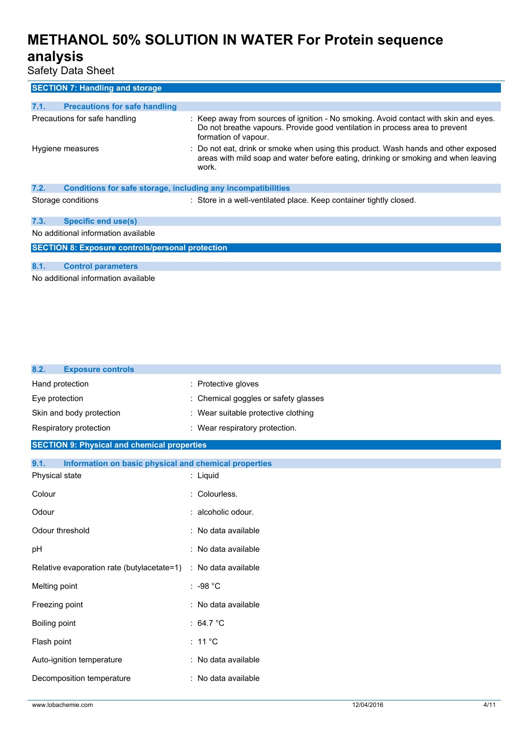Safety Data Sheet

| <b>SECTION 7: Handling and storage</b>                               |                                                                                                                                                                                             |  |
|----------------------------------------------------------------------|---------------------------------------------------------------------------------------------------------------------------------------------------------------------------------------------|--|
|                                                                      |                                                                                                                                                                                             |  |
| <b>Precautions for safe handling</b><br>7.1.                         |                                                                                                                                                                                             |  |
| Precautions for safe handling                                        | : Keep away from sources of ignition - No smoking. Avoid contact with skin and eyes.<br>Do not breathe vapours. Provide good ventilation in process area to prevent<br>formation of vapour. |  |
| Hygiene measures                                                     | : Do not eat, drink or smoke when using this product. Wash hands and other exposed<br>areas with mild soap and water before eating, drinking or smoking and when leaving<br>work.           |  |
| Conditions for safe storage, including any incompatibilities<br>7.2. |                                                                                                                                                                                             |  |
| Storage conditions                                                   | : Store in a well-ventilated place. Keep container tightly closed.                                                                                                                          |  |
| Specific end use(s)<br>7.3.                                          |                                                                                                                                                                                             |  |
| No additional information available                                  |                                                                                                                                                                                             |  |
| <b>SECTION 8: Exposure controls/personal protection</b>              |                                                                                                                                                                                             |  |
|                                                                      |                                                                                                                                                                                             |  |
| 8.1.<br><b>Control parameters</b>                                    |                                                                                                                                                                                             |  |

No additional information available

| 8.2.<br><b>Exposure controls</b>                              |                                      |
|---------------------------------------------------------------|--------------------------------------|
| Hand protection                                               | : Protective gloves                  |
| Eye protection                                                | : Chemical goggles or safety glasses |
| Skin and body protection                                      | : Wear suitable protective clothing  |
| Respiratory protection                                        | : Wear respiratory protection.       |
| <b>SECTION 9: Physical and chemical properties</b>            |                                      |
| 9.1.<br>Information on basic physical and chemical properties |                                      |
| Physical state                                                | : Liquid                             |
| Colour                                                        | : Colourless.                        |
| Odour                                                         | : alcoholic odour.                   |
| Odour threshold                                               | : No data available                  |
| pH                                                            | : No data available                  |
| Relative evaporation rate (butylacetate=1)                    | : No data available                  |
| Melting point                                                 | $: -98 °C$                           |
| Freezing point                                                | : No data available                  |
| Boiling point                                                 | : 64.7 $^{\circ}$ C                  |
| Flash point                                                   | : 11 $^{\circ}$ C                    |
| Auto-ignition temperature                                     | : No data available                  |
| Decomposition temperature                                     | : No data available                  |
|                                                               |                                      |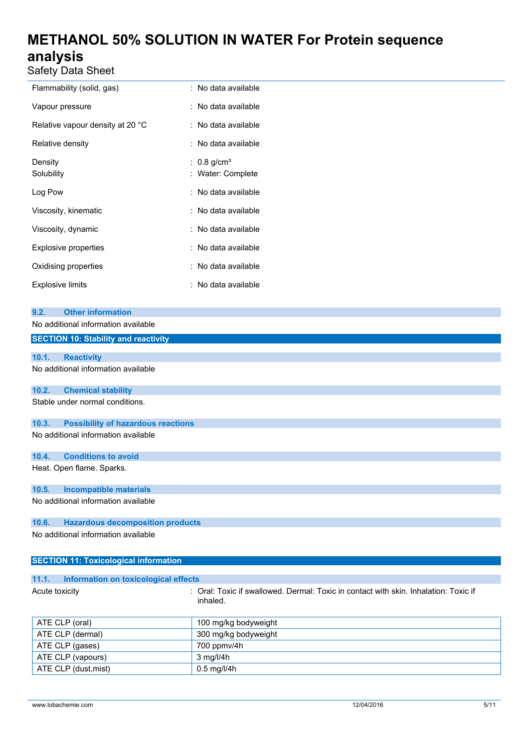Safety Data Sheet

| Flammability (solid, gas)        | : No data available                            |
|----------------------------------|------------------------------------------------|
| Vapour pressure                  | : No data available                            |
| Relative vapour density at 20 °C | : No data available                            |
| Relative density                 | : No data available                            |
| Density<br>Solubility            | : $0.8$ g/cm <sup>3</sup><br>: Water: Complete |
| Log Pow                          | : No data available                            |
| Viscosity, kinematic             | : No data available                            |
| Viscosity, dynamic               | : No data available                            |
| <b>Explosive properties</b>      | : No data available                            |
| Oxidising properties             | : No data available                            |
| <b>Explosive limits</b>          | : No data available                            |

| 9.2.  | <b>Other information</b>                    |
|-------|---------------------------------------------|
|       | No additional information available         |
|       | <b>SECTION 10: Stability and reactivity</b> |
|       |                                             |
| 10.1. | <b>Reactivity</b>                           |
|       | No additional information available         |
| 10.2. | <b>Chemical stability</b>                   |
|       | Stable under normal conditions.             |
| 10.3. | <b>Possibility of hazardous reactions</b>   |
|       | No additional information available         |
| 10.4. | <b>Conditions to avoid</b>                  |
|       | Heat. Open flame. Sparks.                   |
| 10.5. | <b>Incompatible materials</b>               |
|       | No additional information available         |
| 10.6. | <b>Hazardous decomposition products</b>     |
|       | No additional information available         |

## **SECTION 11: Toxicological information**

ATE CLP (dust, mist) 0.5 mg/l/4h

| 11.1.             | Information on toxicological effects                                                             |  |  |
|-------------------|--------------------------------------------------------------------------------------------------|--|--|
| Acute toxicity    | : Oral: Toxic if swallowed. Dermal: Toxic in contact with skin. Inhalation: Toxic if<br>inhaled. |  |  |
| ATE CLP (oral)    | 100 mg/kg bodyweight                                                                             |  |  |
| ATE CLP (dermal)  | 300 mg/kg bodyweight                                                                             |  |  |
| ATE CLP (gases)   | 700 ppmv/4h                                                                                      |  |  |
| ATE CLP (vapours) | $3$ mg/l/4h                                                                                      |  |  |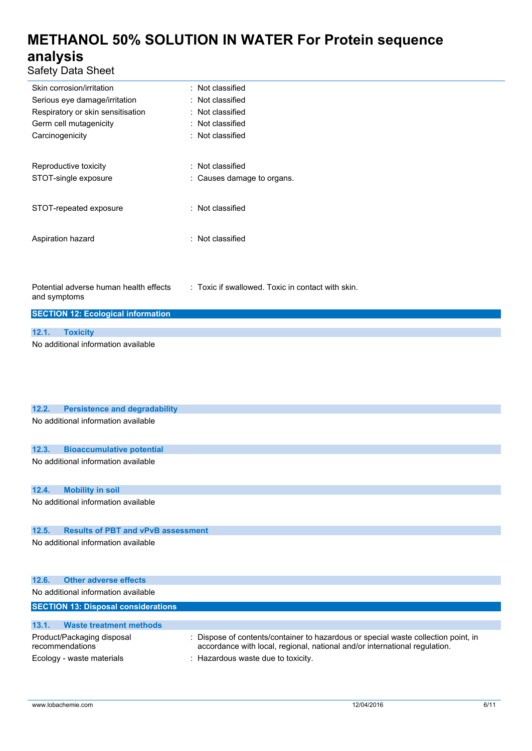Safety Data Sheet

| Skin corrosion/irritation                              | : Not classified                                  |  |  |
|--------------------------------------------------------|---------------------------------------------------|--|--|
| Serious eye damage/irritation                          | : Not classified                                  |  |  |
| Respiratory or skin sensitisation                      | : Not classified                                  |  |  |
| Germ cell mutagenicity                                 | : Not classified                                  |  |  |
| Carcinogenicity                                        | : Not classified                                  |  |  |
|                                                        |                                                   |  |  |
| Reproductive toxicity                                  | : Not classified                                  |  |  |
| STOT-single exposure                                   | : Causes damage to organs.                        |  |  |
|                                                        |                                                   |  |  |
| STOT-repeated exposure                                 | : Not classified                                  |  |  |
|                                                        |                                                   |  |  |
|                                                        |                                                   |  |  |
| Aspiration hazard                                      | : Not classified                                  |  |  |
|                                                        |                                                   |  |  |
|                                                        |                                                   |  |  |
|                                                        |                                                   |  |  |
| Potential adverse human health effects<br>and symptoms | : Toxic if swallowed. Toxic in contact with skin. |  |  |
|                                                        |                                                   |  |  |
| <b>SECTION 12: Ecological information</b>              |                                                   |  |  |
| 12.1.<br><b>Toxicity</b>                               |                                                   |  |  |
| No additional information available                    |                                                   |  |  |
|                                                        |                                                   |  |  |

| 12.2.                               | <b>Persistence and degradability</b>          |                                                                                                                                                                |  |  |
|-------------------------------------|-----------------------------------------------|----------------------------------------------------------------------------------------------------------------------------------------------------------------|--|--|
|                                     | No additional information available           |                                                                                                                                                                |  |  |
| 12.3.                               | <b>Bioaccumulative potential</b>              |                                                                                                                                                                |  |  |
|                                     | No additional information available           |                                                                                                                                                                |  |  |
| 12.4.                               | <b>Mobility in soil</b>                       |                                                                                                                                                                |  |  |
|                                     | No additional information available           |                                                                                                                                                                |  |  |
| 12.5.                               | <b>Results of PBT and vPvB assessment</b>     |                                                                                                                                                                |  |  |
|                                     | No additional information available           |                                                                                                                                                                |  |  |
| 12.6.                               | Other adverse effects                         |                                                                                                                                                                |  |  |
| No additional information available |                                               |                                                                                                                                                                |  |  |
|                                     | <b>SECTION 13: Disposal considerations</b>    |                                                                                                                                                                |  |  |
| 13.1.                               | <b>Waste treatment methods</b>                |                                                                                                                                                                |  |  |
|                                     | Product/Packaging disposal<br>recommendations | Dispose of contents/container to hazardous or special waste collection point, in<br>accordance with local, regional, national and/or international regulation. |  |  |
|                                     | Ecology - waste materials                     | : Hazardous waste due to toxicity.                                                                                                                             |  |  |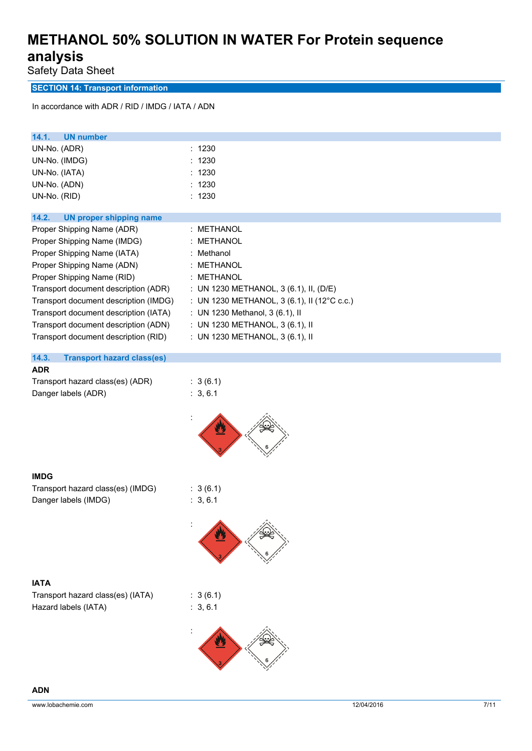Safety Data Sheet

## **SECTION 14: Transport information**

In accordance with ADR / RID / IMDG / IATA / ADN

| <b>UN number</b><br>14.1.                  |                                             |
|--------------------------------------------|---------------------------------------------|
| UN-No. (ADR)                               | : 1230                                      |
| UN-No. (IMDG)                              | 1230<br>٠                                   |
| UN-No. (IATA)                              | : 1230                                      |
| UN-No. (ADN)                               | 1230                                        |
| UN-No. (RID)                               | : 1230                                      |
|                                            |                                             |
| 14.2.<br><b>UN proper shipping name</b>    |                                             |
| Proper Shipping Name (ADR)                 | : METHANOL                                  |
| Proper Shipping Name (IMDG)                | : METHANOL                                  |
| Proper Shipping Name (IATA)                | : Methanol                                  |
| Proper Shipping Name (ADN)                 | : METHANOL                                  |
| Proper Shipping Name (RID)                 | : METHANOL                                  |
| Transport document description (ADR)       | : UN 1230 METHANOL, 3 (6.1), II, (D/E)      |
| Transport document description (IMDG)      | : UN 1230 METHANOL, 3 (6.1), II (12°C c.c.) |
| Transport document description (IATA)      | : UN 1230 Methanol, 3 (6.1), II             |
| Transport document description (ADN)       | : UN 1230 METHANOL, 3 (6.1), II             |
| Transport document description (RID)       | : UN 1230 METHANOL, 3 (6.1), II             |
|                                            |                                             |
| 14.3.<br><b>Transport hazard class(es)</b> |                                             |
| <b>ADR</b>                                 |                                             |
| Transport hazard class(es) (ADR)           | : 3(6.1)                                    |
| Danger labels (ADR)                        | : 3, 6.1                                    |
|                                            |                                             |
| <b>IMDG</b>                                |                                             |
| Transport hazard class(es) (IMDG)          | : 3(6.1)                                    |
| Danger labels (IMDG)                       | : 3, 6.1                                    |
|                                            | 公.                                          |
| <b>IATA</b>                                |                                             |
| Transport hazard class(es) (IATA)          | : 3(6.1)                                    |
| Hazard labels (IATA)                       | : 3, 6.1                                    |
|                                            |                                             |
|                                            |                                             |
|                                            |                                             |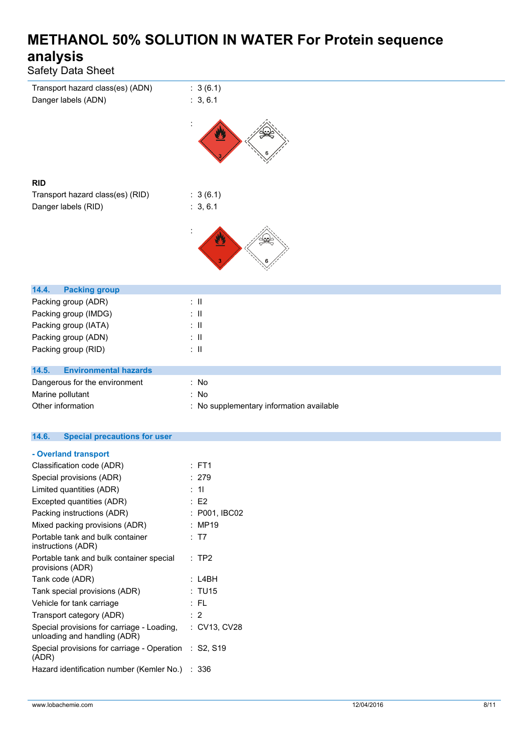| Safety Data Sheet                            |                                          |
|----------------------------------------------|------------------------------------------|
| Transport hazard class(es) (ADN)             | : 3(6.1)                                 |
| Danger labels (ADN)                          | : 3, 6.1                                 |
|                                              | یل                                       |
| <b>RID</b>                                   |                                          |
| Transport hazard class(es) (RID)             | : 3(6.1)                                 |
| Danger labels (RID)                          | : 3, 6.1                                 |
|                                              |                                          |
| 14.4.<br><b>Packing group</b>                |                                          |
| Packing group (ADR)                          | $\therefore$ II                          |
| Packing group (IMDG)                         | $\therefore$ $\blacksquare$              |
| Packing group (IATA)                         | $\therefore$ H                           |
| Packing group (ADN)                          | $\therefore$ $\blacksquare$              |
| Packing group (RID)                          | $\therefore$ H                           |
| 14.5.<br><b>Environmental hazards</b>        |                                          |
| Dangerous for the environment                | : No                                     |
| Marine pollutant                             | : No                                     |
| Other information                            | : No supplementary information available |
| 14.6.<br><b>Special precautions for user</b> |                                          |

## **- Overland transport**

| Classification code (ADR)                                                  | $:$ FT1              |
|----------------------------------------------------------------------------|----------------------|
| Special provisions (ADR)                                                   | : 279                |
| Limited quantities (ADR)                                                   | : 11                 |
| Excepted quantities (ADR)                                                  | E2                   |
| Packing instructions (ADR)                                                 | : P001, IBC02        |
| Mixed packing provisions (ADR)                                             | : MP19               |
| Portable tank and bulk container<br>instructions (ADR)                     | : T7                 |
| Portable tank and bulk container special<br>provisions (ADR)               | $:$ TP2              |
| Tank code (ADR)                                                            | : L4BH               |
| Tank special provisions (ADR)                                              | : TU15               |
| Vehicle for tank carriage                                                  | : FL                 |
| Transport category (ADR)                                                   | $\cdot$ 2            |
| Special provisions for carriage - Loading,<br>unloading and handling (ADR) | : CV13, CV28         |
| Special provisions for carriage - Operation<br>(ADR)                       | $\therefore$ S2, S19 |
| Hazard identification number (Kemler No.)                                  | :336                 |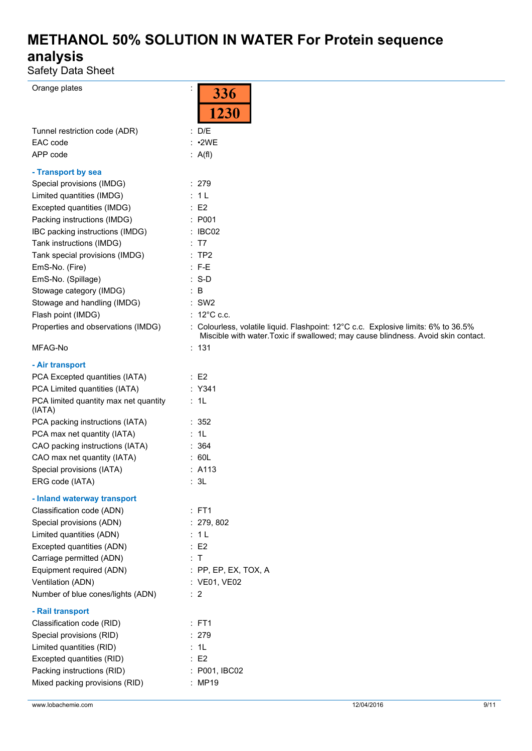Safety Data Sheet

| Orange plates                         |                                                                                                                                                                         |
|---------------------------------------|-------------------------------------------------------------------------------------------------------------------------------------------------------------------------|
|                                       | 336                                                                                                                                                                     |
|                                       | 1230                                                                                                                                                                    |
| Tunnel restriction code (ADR)         | : D/E                                                                                                                                                                   |
| EAC code                              | : 2WE                                                                                                                                                                   |
| APP code                              | : $A(f)$                                                                                                                                                                |
|                                       |                                                                                                                                                                         |
| - Transport by sea                    |                                                                                                                                                                         |
| Special provisions (IMDG)             | : 279                                                                                                                                                                   |
| Limited quantities (IMDG)             | : 1L                                                                                                                                                                    |
| Excepted quantities (IMDG)            | $\therefore$ E2                                                                                                                                                         |
| Packing instructions (IMDG)           | : P001                                                                                                                                                                  |
| IBC packing instructions (IMDG)       | : IBC02                                                                                                                                                                 |
| Tank instructions (IMDG)              | : T7                                                                                                                                                                    |
| Tank special provisions (IMDG)        | :TP2                                                                                                                                                                    |
| EmS-No. (Fire)                        | $:$ F-E                                                                                                                                                                 |
| EmS-No. (Spillage)                    | $: S-D$                                                                                                                                                                 |
| Stowage category (IMDG)               | : B                                                                                                                                                                     |
| Stowage and handling (IMDG)           | $:$ SW2                                                                                                                                                                 |
| Flash point (IMDG)                    | : $12^{\circ}$ C c.c.                                                                                                                                                   |
| Properties and observations (IMDG)    | : Colourless, volatile liquid. Flashpoint: 12°C c.c. Explosive limits: 6% to 36.5%<br>Miscible with water. Toxic if swallowed; may cause blindness. Avoid skin contact. |
| MFAG-No                               | : 131                                                                                                                                                                   |
| - Air transport                       |                                                                                                                                                                         |
| PCA Excepted quantities (IATA)        | $\therefore$ E2                                                                                                                                                         |
| PCA Limited quantities (IATA)         | : Y341                                                                                                                                                                  |
| PCA limited quantity max net quantity | : 1L                                                                                                                                                                    |
| (IATA)                                |                                                                                                                                                                         |
| PCA packing instructions (IATA)       | :352                                                                                                                                                                    |
| PCA max net quantity (IATA)           | : 1L                                                                                                                                                                    |
| CAO packing instructions (IATA)       | : 364                                                                                                                                                                   |
| CAO max net quantity (IATA)           | : 60L                                                                                                                                                                   |
| Special provisions (IATA)             | : A113                                                                                                                                                                  |
| ERG code (IATA)                       | : 3L                                                                                                                                                                    |
| - Inland waterway transport           |                                                                                                                                                                         |
| Classification code (ADN)             | $:$ FT1                                                                                                                                                                 |
| Special provisions (ADN)              | : 279, 802                                                                                                                                                              |
| Limited quantities (ADN)              | : 1L                                                                                                                                                                    |
| Excepted quantities (ADN)             | $\therefore$ E2                                                                                                                                                         |
| Carriage permitted (ADN)              | : T                                                                                                                                                                     |
| Equipment required (ADN)              | : PP, EP, EX, TOX, A                                                                                                                                                    |
| Ventilation (ADN)                     | : VE01, VE02                                                                                                                                                            |
| Number of blue cones/lights (ADN)     | $\therefore$ 2                                                                                                                                                          |
|                                       |                                                                                                                                                                         |
| - Rail transport                      |                                                                                                                                                                         |
| Classification code (RID)             | $:$ FT1                                                                                                                                                                 |
| Special provisions (RID)              | : 279                                                                                                                                                                   |
| Limited quantities (RID)              | : 1L                                                                                                                                                                    |
| Excepted quantities (RID)             | : E2                                                                                                                                                                    |
| Packing instructions (RID)            | : P001, IBC02                                                                                                                                                           |
| Mixed packing provisions (RID)        | : MP19                                                                                                                                                                  |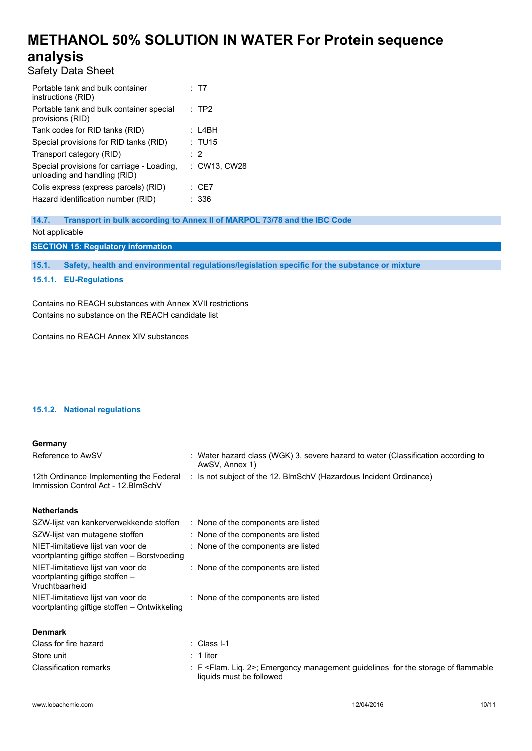Safety Data Sheet

| Portable tank and bulk container<br>instructions (RID)                     | : T7             |
|----------------------------------------------------------------------------|------------------|
| Portable tank and bulk container special<br>provisions (RID)               | $\therefore$ TP2 |
| Tank codes for RID tanks (RID)                                             | : L4BH           |
| Special provisions for RID tanks (RID)                                     | : TU15           |
| Transport category (RID)                                                   | $\cdot$ 2        |
| Special provisions for carriage - Loading,<br>unloading and handling (RID) | : CW13, CW28     |
| Colis express (express parcels) (RID)                                      | : CE7            |
| Hazard identification number (RID)                                         | : 336            |

**14.7. Transport in bulk according to Annex II of MARPOL 73/78 and the IBC Code** Not applicable

**SECTION 15: Regulatory information**

**15.1. Safety, health and environmental regulations/legislation specific for the substance or mixture**

### **15.1.1. EU-Regulations**

Contains no REACH substances with Annex XVII restrictions Contains no substance on the REACH candidate list

Contains no REACH Annex XIV substances

### **15.1.2. National regulations**

#### **Germany**

| Reference to AwSV                                                              | : Water hazard class (WGK) 3, severe hazard to water (Classification according to<br>AwSV, Annex 1) |
|--------------------------------------------------------------------------------|-----------------------------------------------------------------------------------------------------|
| 12th Ordinance Implementing the Federal<br>Immission Control Act - 12. BlmSchV | : Is not subject of the 12. BlmSchV (Hazardous Incident Ordinance)                                  |

#### **Netherlands**

| SZW-lijst van kankerverwekkende stoffen                                                 | : None of the components are listed |
|-----------------------------------------------------------------------------------------|-------------------------------------|
| SZW-lijst van mutagene stoffen                                                          | : None of the components are listed |
| NIET-limitatieve lijst van voor de<br>voortplanting giftige stoffen – Borstvoeding      | : None of the components are listed |
| NIET-limitatieve lijst van voor de<br>voortplanting giftige stoffen –<br>Vruchtbaarheid | : None of the components are listed |
| NIET-limitatieve lijst van voor de<br>voortplanting giftige stoffen - Ontwikkeling      | : None of the components are listed |
| <b>Denmark</b>                                                                          |                                     |
| Class for fire hazard                                                                   | : Class I-1                         |

Store unit  $\qquad \qquad$  : 1 liter

| Classification remarks | : F <flam. 2="" liq.="">; Emergency management guidelines for the storage of flammable<br/>liquids must be followed</flam.> |  |
|------------------------|-----------------------------------------------------------------------------------------------------------------------------|--|
|                        |                                                                                                                             |  |